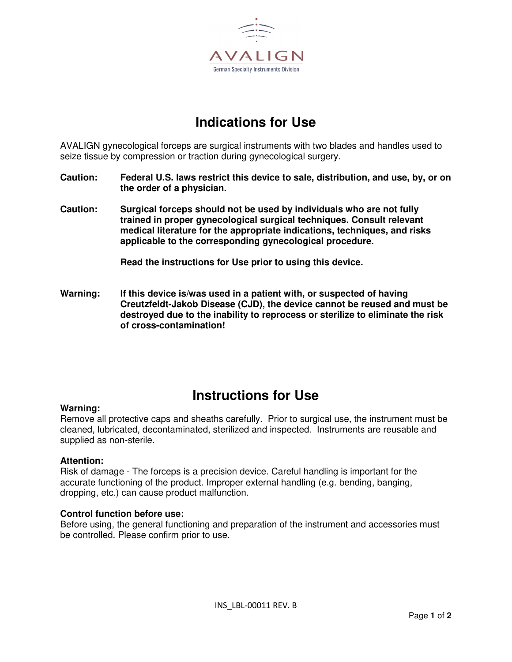

# **Indications for Use**

AVALIGN gynecological forceps are surgical instruments with two blades and handles used to seize tissue by compression or traction during gynecological surgery.

- **Caution: Federal U.S. laws restrict this device to sale, distribution, and use, by, or on the order of a physician.**
- **Caution: Surgical forceps should not be used by individuals who are not fully trained in proper gynecological surgical techniques. Consult relevant medical literature for the appropriate indications, techniques, and risks applicable to the corresponding gynecological procedure.**

**Read the instructions for Use prior to using this device.** 

**Warning: If this device is/was used in a patient with, or suspected of having Creutzfeldt-Jakob Disease (CJD), the device cannot be reused and must be destroyed due to the inability to reprocess or sterilize to eliminate the risk of cross-contamination!** 

### **Instructions for Use**

#### **Warning:**

Remove all protective caps and sheaths carefully. Prior to surgical use, the instrument must be cleaned, lubricated, decontaminated, sterilized and inspected. Instruments are reusable and supplied as non-sterile.

#### **Attention:**

Risk of damage - The forceps is a precision device. Careful handling is important for the accurate functioning of the product. Improper external handling (e.g. bending, banging, dropping, etc.) can cause product malfunction.

#### **Control function before use:**

Before using, the general functioning and preparation of the instrument and accessories must be controlled. Please confirm prior to use.